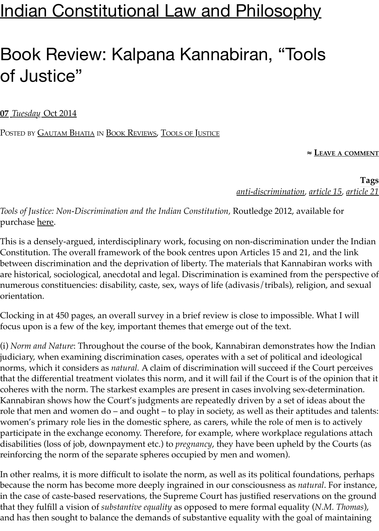## **[Indian Constitutional Law and Philosophy](https://indconlawphil.wordpress.com/)**

## Book Review: Kalpana Kannabiran, "Tools of Justice"

**07** *Tuesday* [Oct 2014](https://indconlawphil.wordpress.com/2014/10/07/book-review-kalpana-kannabiran-tools-of-justice/)

POSTED BY **[GAUTAM BHATIA](https://indconlawphil.wordpress.com/author/gautambhatia1988/) IN [BOOK REVIEWS](https://indconlawphil.wordpress.com/category/book-reviews/), TOOLS [OF JUSTICE](https://indconlawphil.wordpress.com/category/book-reviews/tools-of-justice/)** 

**≈ LEAVE A COMMENT**

**Tags** *[anti-discrimination](https://indconlawphil.wordpress.com/tag/anti-discrimination/), [article 15,](https://indconlawphil.wordpress.com/tag/article-15/) [article 21](https://indconlawphil.wordpress.com/tag/article-21/)*

*Tools of Justice: Non-Discrimination and the Indian Constitution,* Routledge 2012, available for purchase <u>here</u>.

This is a densely-argued, interdisciplinary work, focusing on non-discrimination under the Indian Constitution. The overall framework of the book centres upon Articles 15 and 21, and the link between discrimination and the deprivation of liberty. The materials that Kannabiran works with are historical, sociological, anecdotal and legal. Discrimination is examined from the perspective of numerous constituencies: disability, caste, sex, ways of life (adivasis/tribals), religion, and sexual orientation.

Clocking in at 450 pages, an overall survey in a brief review is close to impossible. What I will focus upon is a few of the key, important themes that emerge out of the text.

(i) *Norm and Nature*: Throughout the course of the book, Kannabiran demonstrates how the Indian judiciary, when examining discrimination cases, operates with a set of political and ideological norms, which it considers as *natural.* A claim of discrimination will succeed if the Court perceives that the differential treatment violates this norm, and it will fail if the Court is of the opinion that it coheres with the norm. The starkest examples are present in cases involving sex-determination. Kannabiran shows how the Court's judgments are repeatedly driven by a set of ideas about the role that men and women do – and ought – to play in society, as well as their aptitudes and talents: women's primary role lies in the domestic sphere, as carers, while the role of men is to actively participate in the exchange economy. Therefore, for example, where workplace regulations attach disabilities (loss of job, downpayment etc.) to *pregnancy*, they have been upheld by the Courts (as reinforcing the norm of the separate spheres occupied by men and women).

In other realms, it is more difficult to isolate the norm, as well as its political foundations, perhaps because the norm has become more deeply ingrained in our consciousness as *natural*. For instance, in the case of caste-based reservations, the Supreme Court has justified reservations on the ground that they fulfill a vision of *substantive equality* as opposed to mere formal equality (*N.M. Thomas*), and has then sought to balance the demands of substantive equality with the goal of maintaining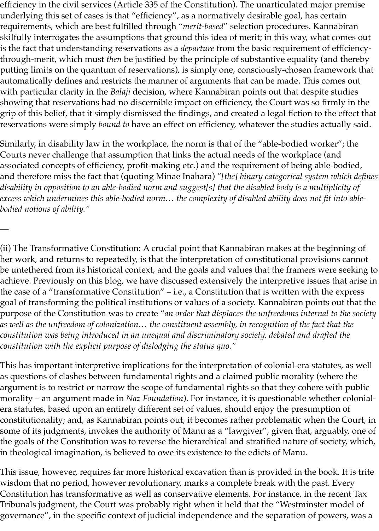efficiency in the civil services (Article 335 of the Constitution). The unarticulated major premise underlying this set of cases is that "efficiency", as a normatively desirable goal, has certain requirements, which are best fulfilled through "*merit-based*" selection procedures. Kannabiran skilfully interrogates the assumptions that ground this idea of merit; in this way, what comes out is the fact that understanding reservations as a *departure* from the basic requirement of efficiencythrough-merit, which must *then* be justified by the principle of substantive equality (and thereby putting limits on the quantum of reservations), is simply one, consciously-chosen framework that automatically defines and restricts the manner of arguments that can be made. This comes out with particular clarity in the *Balaji* decision, where Kannabiran points out that despite studies showing that reservations had no discernible impact on efficiency, the Court was so firmly in the grip of this belief, that it simply dismissed the findings, and created a legal fiction to the effect that reservations were simply *bound to* have an effect on efficiency, whatever the studies actually said.

Similarly, in disability law in the workplace, the norm is that of the "able-bodied worker"; the Courts never challenge that assumption that links the actual needs of the workplace (and associated concepts of efficiency, profit-making etc.) and the requirement of being able-bodied, and therefore miss the fact that (quoting Minae Inahara) "*[the] binary categorical system which defines disability in opposition to an able-bodied norm and suggest[s] that the disabled body is a multiplicity of excess which undermines this able-bodied norm… the complexity of disabled ability does not fit into ablebodied notions of ability."* 

—

(ii) The Transformative Constitution: A crucial point that Kannabiran makes at the beginning of her work, and returns to repeatedly, is that the interpretation of constitutional provisions cannot be untethered from its historical context, and the goals and values that the framers were seeking to achieve. Previously on this blog, we have discussed extensively the interpretive issues that arise in the case of a "transformative Constitution" – i.e., a Constitution that is written with the express goal of transforming the political institutions or values of a society. Kannabiran points out that the purpose of the Constitution was to create "*an order that displaces the unfreedoms internal to the society as well as the unfreedom of colonization… the constituent assembly, in recognition of the fact that the constitution was being introduced in an unequal and discriminatory society, debated and drafted the constitution with the explicit purpose of dislodging the status quo."*

This has important interpretive implications for the interpretation of colonial-era statutes, as well as questions of clashes between fundamental rights and a claimed public morality (where the argument is to restrict or narrow the scope of fundamental rights so that they cohere with public morality – an argument made in *Naz Foundation*). For instance, it is questionable whether colonialera statutes, based upon an entirely different set of values, should enjoy the presumption of constitutionality; and, as Kannabiran points out, it becomes rather problematic when the Court, in some of its judgments, invokes the authority of Manu as a "lawgiver", given that, arguably, one of the goals of the Constitution was to reverse the hierarchical and stratified nature of society, which, in theological imagination, is believed to owe its existence to the edicts of Manu.

This issue, however, requires far more historical excavation than is provided in the book. It is trite wisdom that no period, however revolutionary, marks a complete break with the past. Every Constitution has transformative as well as conservative elements. For instance, in the recent Tax Tribunals judgment, the Court was probably right when it held that the "Westminster model of governance", in the specific context of judicial independence and the separation of powers, was a